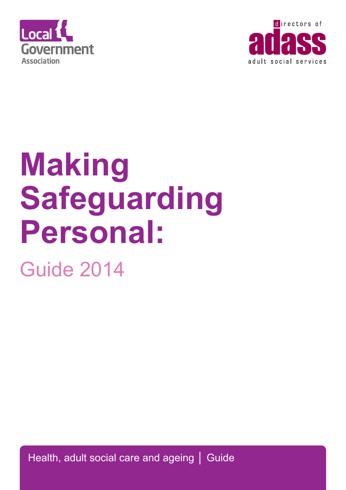



# **Making Safeguarding Personal:**  Guide 2014

Health, adult social care and ageing | Guide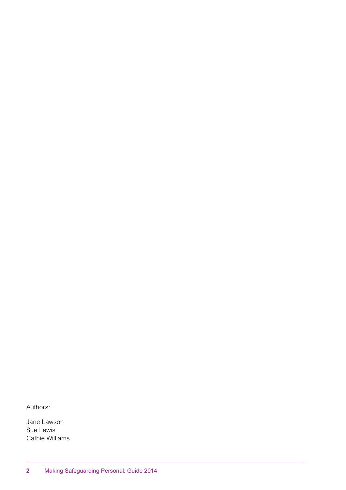Authors:

Jane Lawson Sue Lewis Cathie Williams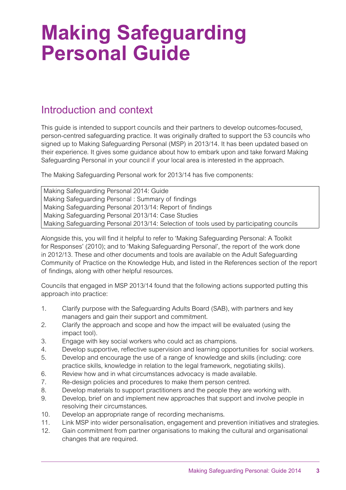## **Making Safeguarding Personal Guide**

## Introduction and context

This guide is intended to support councils and their partners to develop outcomes-focused, person-centred safeguarding practice. It was originally drafted to support the 53 councils who signed up to Making Safeguarding Personal (MSP) in 2013/14. It has been updated based on their experience. It gives some guidance about how to embark upon and take forward Making Safeguarding Personal in your council if your local area is interested in the approach.

The Making Safeguarding Personal work for 2013/14 has five components:

Making Safeguarding Personal 2014: Guide Making Safeguarding Personal : Summary of findings Making Safeguarding Personal 2013/14: Report of findings Making Safeguarding Personal 2013/14: Case Studies Making Safeguarding Personal 2013/14: Selection of tools used by participating councils

Alongside this, you will find it helpful to refer to 'Making Safeguarding Personal: A Toolkit for Responses' (2010); and to 'Making Safeguarding Personal', the report of the work done in 2012/13. These and other documents and tools are available on the Adult Safeguarding Community of Practice on the Knowledge Hub, and listed in the References section of the report of findings, along with other helpful resources.

Councils that engaged in MSP 2013/14 found that the following actions supported putting this approach into practice:

- 1. Clarify purpose with the Safeguarding Adults Board (SAB), with partners and key managers and gain their support and commitment.
- 2. Clarify the approach and scope and how the impact will be evaluated (using the impact tool).
- 3. Engage with key social workers who could act as champions.
- 4. Develop supportive, reflective supervision and learning opportunities for social workers.
- 5. Develop and encourage the use of a range of knowledge and skills (including: core practice skills, knowledge in relation to the legal framework, negotiating skills).
- 6. Review how and in what circumstances advocacy is made available.
- 7. Re-design policies and procedures to make them person centred.
- 8. Develop materials to support practitioners and the people they are working with.
- 9. Develop, brief on and implement new approaches that support and involve people in resolving their circumstances.
- 10. Develop an appropriate range of recording mechanisms.
- 11. Link MSP into wider personalisation, engagement and prevention initiatives and strategies.
- 12. Gain commitment from partner organisations to making the cultural and organisational changes that are required.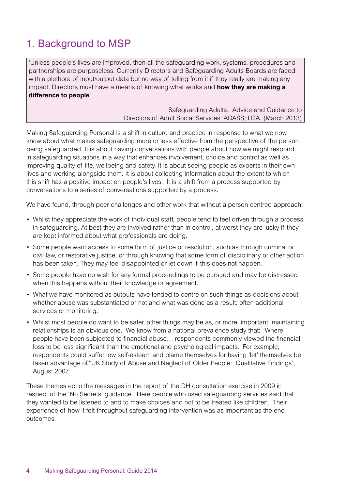## 1. Background to MSP

'Unless people's lives are improved, then all the safeguarding work, systems, procedures and partnerships are purposeless. Currently Directors and Safeguarding Adults Boards are faced with a plethora of input/output data but no way of telling from it if they really are making any impact. Directors must have a means of knowing what works and **how they are making a difference to people**'

> Safeguarding Adults: Advice and Guidance to Directors of Adult Social Services' ADASS; LGA, (March 2013)

Making Safeguarding Personal is a shift in culture and practice in response to what we now know about what makes safeguarding more or less effective from the perspective of the person being safeguarded. It is about having conversations with people about how we might respond in safeguarding situations in a way that enhances involvement, choice and control as well as improving quality of life, wellbeing and safety. It is about seeing people as experts in their own lives and working alongside them. It is about collecting information about the extent to which this shift has a positive impact on people's lives. It is a shift from a process supported by conversations to a series of conversations supported by a process.

We have found, through peer challenges and other work that without a person centred approach:

- Whilst they appreciate the work of individual staff, people tend to feel driven through a process in safeguarding. At best they are involved rather than in control, at worst they are lucky if they are kept informed about what professionals are doing.
- Some people want access to some form of justice or resolution, such as through criminal or civil law, or restorative justice, or through knowing that some form of disciplinary or other action has been taken. They may feel disappointed or let down if this does not happen.
- Some people have no wish for any formal proceedings to be pursued and may be distressed when this happens without their knowledge or agreement.
- What we have monitored as outputs have tended to centre on such things as decisions about whether abuse was substantiated or not and what was done as a result: often additional services or monitoring.
- Whilst most people do want to be safer, other things may be as, or more, important: maintaining relationships is an obvious one. We know from a national prevalence study that; "Where people have been subjected to financial abuse… respondents commonly viewed the financial loss to be less significant than the emotional and psychological impacts. For example, respondents could suffer low self-esteem and blame themselves for having 'let' themselves be taken advantage of."UK Study of Abuse and Neglect of Older People: Qualitative Findings', August 2007.

These themes echo the messages in the report of the DH consultation exercise in 2009 in respect of the 'No Secrets' guidance. Here people who used safeguarding services said that they wanted to be listened to and to make choices and not to be treated like children. Their experience of how it felt throughout safeguarding intervention was as important as the end outcomes.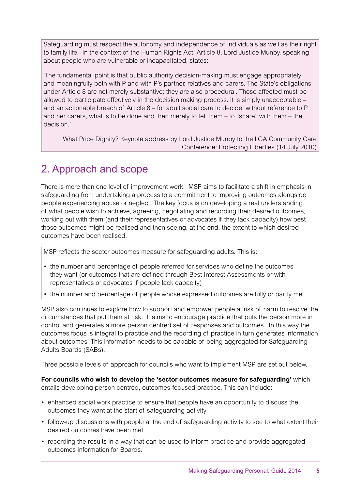Safeguarding must respect the autonomy and independence of individuals as well as their right to family life. In the context of the Human Rights Act, Article 8, Lord Justice Munby, speaking about people who are vulnerable or incapacitated, states:

'The fundamental point is that public authority decision-making must engage appropriately and meaningfully both with P and with P's partner, relatives and carers. The State's obligations under Article 8 are not merely substantive; they are also procedural. Those affected must be allowed to participate effectively in the decision making process. It is simply unacceptable – and an actionable breach of Article 8 – for adult social care to decide, without reference to P and her carers, what is to be done and then merely to tell them – to "share" with them – the decision.'

What Price Dignity? Keynote address by Lord Justice Munby to the LGA Community Care Conference: Protecting Liberties (14 July 2010)

## 2. Approach and scope

There is more than one level of improvement work. MSP aims to facilitate a shift in emphasis in safeguarding from undertaking a process to a commitment to improving outcomes alongside people experiencing abuse or neglect. The key focus is on developing a real understanding of what people wish to achieve, agreeing, negotiating and recording their desired outcomes, working out with them (and their representatives or advocates if they lack capacity) how best those outcomes might be realised and then seeing, at the end, the extent to which desired outcomes have been realised.

MSP reflects the sector outcomes measure for safeguarding adults. This is:

- the number and percentage of people referred for services who define the outcomes they want (or outcomes that are defined through Best Interest Assessments or with representatives or advocates if people lack capacity)
- the number and percentage of people whose expressed outcomes are fully or partly met.

MSP also continues to explore how to support and empower people at risk of harm to resolve the circumstances that put them at risk. It aims to encourage practice that puts the person more in control and generates a more person centred set of responses and outcomes. In this way the outcomes focus is integral to practice and the recording of practice in turn generates information about outcomes. This information needs to be capable of being aggregated for Safeguarding Adults Boards (SABs).

Three possible levels of approach for councils who want to implement MSP are set out below.

**For councils who wish to develop the 'sector outcomes measure for safeguarding'** which entails developing person centred, outcomes-focused practice. This can include:

- enhanced social work practice to ensure that people have an opportunity to discuss the outcomes they want at the start of safeguarding activity
- follow-up discussions with people at the end of safeguarding activity to see to what extent their desired outcomes have been met
- recording the results in a way that can be used to inform practice and provide aggregated outcomes information for Boards.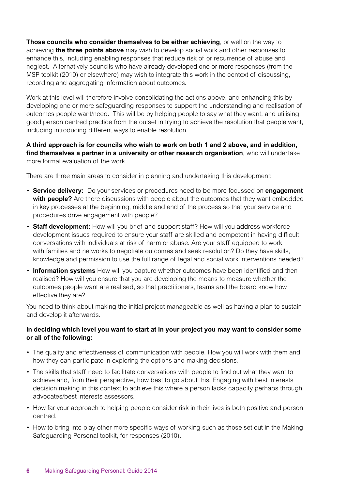**Those councils who consider themselves to be either achieving**, or well on the way to achieving **the three points above** may wish to develop social work and other responses to enhance this, including enabling responses that reduce risk of or recurrence of abuse and neglect. Alternatively councils who have already developed one or more responses (from the MSP toolkit (2010) or elsewhere) may wish to integrate this work in the context of discussing, recording and aggregating information about outcomes.

Work at this level will therefore involve consolidating the actions above, and enhancing this by developing one or more safeguarding responses to support the understanding and realisation of outcomes people want/need. This will be by helping people to say what they want, and utilising good person centred practice from the outset in trying to achieve the resolution that people want, including introducing different ways to enable resolution.

#### **A third approach is for councils who wish to work on both 1 and 2 above, and in addition, find themselves a partner in a university or other research organisation**, who will undertake more formal evaluation of the work.

There are three main areas to consider in planning and undertaking this development:

- • **Service delivery:** Do your services or procedures need to be more focussed on **engagement with people?** Are there discussions with people about the outcomes that they want embedded in key processes at the beginning, middle and end of the process so that your service and procedures drive engagement with people?
- **Staff development:** How will you brief and support staff? How will you address workforce development issues required to ensure your staff are skilled and competent in having difficult conversations with individuals at risk of harm or abuse. Are your staff equipped to work with families and networks to negotiate outcomes and seek resolution? Do they have skills, knowledge and permission to use the full range of legal and social work interventions needed?
- Information systems How will you capture whether outcomes have been identified and then realised? How will you ensure that you are developing the means to measure whether the outcomes people want are realised, so that practitioners, teams and the board know how effective they are?

You need to think about making the initial project manageable as well as having a plan to sustain and develop it afterwards.

#### **In deciding which level you want to start at in your project you may want to consider some or all of the following:**

- The quality and effectiveness of communication with people. How you will work with them and how they can participate in exploring the options and making decisions.
- The skills that staff need to facilitate conversations with people to find out what they want to achieve and, from their perspective, how best to go about this. Engaging with best interests decision making in this context to achieve this where a person lacks capacity perhaps through advocates/best interests assessors.
- How far your approach to helping people consider risk in their lives is both positive and person centred.
- How to bring into play other more specific ways of working such as those set out in the Making Safeguarding Personal toolkit, for responses (2010).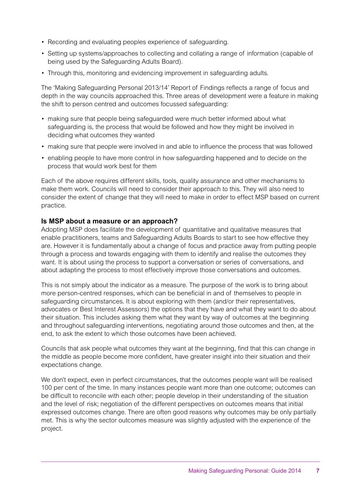- Recording and evaluating peoples experience of safeguarding.
- Setting up systems/approaches to collecting and collating a range of information (capable of being used by the Safeguarding Adults Board).
- Through this, monitoring and evidencing improvement in safeguarding adults.

The 'Making Safeguarding Personal 2013/14' Report of Findings reflects a range of focus and depth in the way councils approached this. Three areas of development were a feature in making the shift to person centred and outcomes focussed safeguarding:

- making sure that people being safeguarded were much better informed about what safeguarding is, the process that would be followed and how they might be involved in deciding what outcomes they wanted
- making sure that people were involved in and able to influence the process that was followed
- enabling people to have more control in how safeguarding happened and to decide on the process that would work best for them

Each of the above requires different skills, tools, quality assurance and other mechanisms to make them work. Councils will need to consider their approach to this. They will also need to consider the extent of change that they will need to make in order to effect MSP based on current practice.

#### **Is MSP about a measure or an approach?**

Adopting MSP does facilitate the development of quantitative and qualitative measures that enable practitioners, teams and Safeguarding Adults Boards to start to see how effective they are. However it is fundamentally about a change of focus and practice away from putting people through a process and towards engaging with them to identify and realise the outcomes they want. It is about using the process to support a conversation or series of conversations, and about adapting the process to most effectively improve those conversations and outcomes.

This is not simply about the indicator as a measure. The purpose of the work is to bring about more person-centred responses, which can be beneficial in and of themselves to people in safeguarding circumstances. It is about exploring with them (and/or their representatives, advocates or Best Interest Assessors) the options that they have and what they want to do about their situation. This includes asking them what they want by way of outcomes at the beginning and throughout safeguarding interventions, negotiating around those outcomes and then, at the end, to ask the extent to which those outcomes have been achieved.

Councils that ask people what outcomes they want at the beginning, find that this can change in the middle as people become more confident, have greater insight into their situation and their expectations change.

We don't expect, even in perfect circumstances, that the outcomes people want will be realised 100 per cent of the time. In many instances people want more than one outcome; outcomes can be difficult to reconcile with each other; people develop in their understanding of the situation and the level of risk; negotiation of the different perspectives on outcomes means that initial expressed outcomes change. There are often good reasons why outcomes may be only partially met. This is why the sector outcomes measure was slightly adjusted with the experience of the project.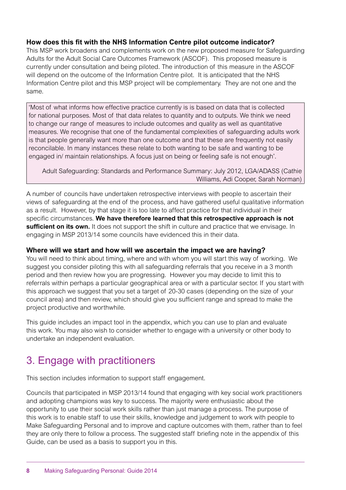#### **How does this fit with the NHS Information Centre pilot outcome indicator?**

This MSP work broadens and complements work on the new proposed measure for Safeguarding Adults for the Adult Social Care Outcomes Framework (ASCOF). This proposed measure is currently under consultation and being piloted. The introduction of this measure in the ASCOF will depend on the outcome of the Information Centre pilot. It is anticipated that the NHS Information Centre pilot and this MSP project will be complementary. They are not one and the same.

'Most of what informs how effective practice currently is is based on data that is collected for national purposes. Most of that data relates to quantity and to outputs. We think we need to change our range of measures to include outcomes and quality as well as quantitative measures. We recognise that one of the fundamental complexities of safeguarding adults work is that people generally want more than one outcome and that these are frequently not easily reconcilable. In many instances these relate to both wanting to be safe and wanting to be engaged in/ maintain relationships. A focus just on being or feeling safe is not enough'.

Adult Safeguarding: Standards and Performance Summary: July 2012, LGA/ADASS (Cathie Williams, Adi Cooper, Sarah Norman)

A number of councils have undertaken retrospective interviews with people to ascertain their views of safeguarding at the end of the process, and have gathered useful qualitative information as a result. However, by that stage it is too late to affect practice for that individual in their specific circumstances. **We have therefore learned that this retrospective approach is not sufficient on its own.** It does not support the shift in culture and practice that we envisage. In engaging in MSP 2013/14 some councils have evidenced this in their data.

#### **Where will we start and how will we ascertain the impact we are having?**

You will need to think about timing, where and with whom you will start this way of working. We suggest you consider piloting this with all safeguarding referrals that you receive in a 3 month period and then review how you are progressing. However you may decide to limit this to referrals within perhaps a particular geographical area or with a particular sector. If you start with this approach we suggest that you set a target of 20-30 cases (depending on the size of your council area) and then review, which should give you sufficient range and spread to make the project productive and worthwhile.

This guide includes an impact tool in the appendix, which you can use to plan and evaluate this work. You may also wish to consider whether to engage with a university or other body to undertake an independent evaluation.

## 3. Engage with practitioners

This section includes information to support staff engagement.

Councils that participated in MSP 2013/14 found that engaging with key social work practitioners and adopting champions was key to success. The majority were enthusiastic about the opportunity to use their social work skills rather than just manage a process. The purpose of this work is to enable staff to use their skills, knowledge and judgement to work with people to Make Safeguarding Personal and to improve and capture outcomes with them, rather than to feel they are only there to follow a process. The suggested staff briefing note in the appendix of this Guide, can be used as a basis to support you in this.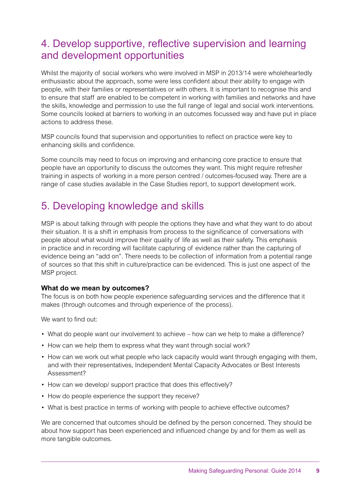## 4. Develop supportive, reflective supervision and learning and development opportunities

Whilst the majority of social workers who were involved in MSP in 2013/14 were wholeheartedly enthusiastic about the approach, some were less confident about their ability to engage with people, with their families or representatives or with others. It is important to recognise this and to ensure that staff are enabled to be competent in working with families and networks and have the skills, knowledge and permission to use the full range of legal and social work interventions. Some councils looked at barriers to working in an outcomes focussed way and have put in place actions to address these.

MSP councils found that supervision and opportunities to reflect on practice were key to enhancing skills and confidence.

Some councils may need to focus on improving and enhancing core practice to ensure that people have an opportunity to discuss the outcomes they want. This might require refresher training in aspects of working in a more person centred / outcomes-focused way. There are a range of case studies available in the Case Studies report, to support development work.

## 5. Developing knowledge and skills

MSP is about talking through with people the options they have and what they want to do about their situation. It is a shift in emphasis from process to the significance of conversations with people about what would improve their quality of life as well as their safety. This emphasis in practice and in recording will facilitate capturing of evidence rather than the capturing of evidence being an "add on". There needs to be collection of information from a potential range of sources so that this shift in culture/practice can be evidenced. This is just one aspect of the MSP project.

#### **What do we mean by outcomes?**

The focus is on both how people experience safeguarding services and the difference that it makes (through outcomes and through experience of the process).

We want to find out:

- What do people want our involvement to achieve how can we help to make a difference?
- How can we help them to express what they want through social work?
- How can we work out what people who lack capacity would want through engaging with them, and with their representatives, Independent Mental Capacity Advocates or Best Interests Assessment?
- How can we develop/ support practice that does this effectively?
- How do people experience the support they receive?
- What is best practice in terms of working with people to achieve effective outcomes?

We are concerned that outcomes should be defined by the person concerned. They should be about how support has been experienced and influenced change by and for them as well as more tangible outcomes.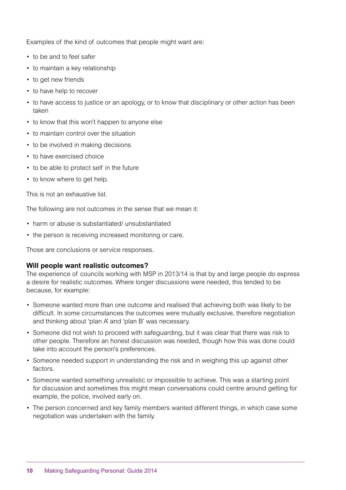Examples of the kind of outcomes that people might want are:

- to be and to feel safer
- to maintain a key relationship
- to get new friends
- to have help to recover
- to have access to justice or an apology, or to know that disciplinary or other action has been taken
- to know that this won't happen to anyone else
- to maintain control over the situation
- to be involved in making decisions
- to have exercised choice
- to be able to protect self in the future
- to know where to get help.

This is not an exhaustive list.

The following are not outcomes in the sense that we mean it:

- harm or abuse is substantiated/ unsubstantiated
- the person is receiving increased monitoring or care.

Those are conclusions or service responses.

#### **Will people want realistic outcomes?**

The experience of councils working with MSP in 2013/14 is that by and large people do express a desire for realistic outcomes. Where longer discussions were needed, this tended to be because, for example:

- Someone wanted more than one outcome and realised that achieving both was likely to be difficult. In some circumstances the outcomes were mutually exclusive, therefore negotiation and thinking about 'plan A' and 'plan B' was necessary.
- Someone did not wish to proceed with safeguarding, but it was clear that there was risk to other people. Therefore an honest discussion was needed, though how this was done could take into account the person's preferences.
- Someone needed support in understanding the risk and in weighing this up against other factors.
- • Someone wanted something unrealistic or impossible to achieve. This was a starting point for discussion and sometimes this might mean conversations could centre around getting for example, the police, involved early on.
- The person concerned and key family members wanted different things, in which case some negotiation was undertaken with the family.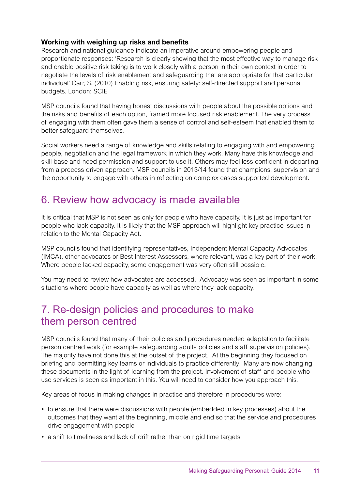#### **Working with weighing up risks and benefits**

Research and national guidance indicate an imperative around empowering people and proportionate responses: 'Research is clearly showing that the most effective way to manage risk and enable positive risk taking is to work closely with a person in their own context in order to negotiate the levels of risk enablement and safeguarding that are appropriate for that particular individual' Carr, S. (2010) Enabling risk, ensuring safety: self-directed support and personal budgets. London: SCIE

MSP councils found that having honest discussions with people about the possible options and the risks and benefits of each option, framed more focused risk enablement. The very process of engaging with them often gave them a sense of control and self-esteem that enabled them to better safeguard themselves.

Social workers need a range of knowledge and skills relating to engaging with and empowering people, negotiation and the legal framework in which they work. Many have this knowledge and skill base and need permission and support to use it. Others may feel less confident in departing from a process driven approach. MSP councils in 2013/14 found that champions, supervision and the opportunity to engage with others in reflecting on complex cases supported development.

### 6. Review how advocacy is made available

It is critical that MSP is not seen as only for people who have capacity. It is just as important for people who lack capacity. It is likely that the MSP approach will highlight key practice issues in relation to the Mental Capacity Act.

MSP councils found that identifying representatives, Independent Mental Capacity Advocates (IMCA), other advocates or Best Interest Assessors, where relevant, was a key part of their work. Where people lacked capacity, some engagement was very often still possible.

You may need to review how advocates are accessed. Advocacy was seen as important in some situations where people have capacity as well as where they lack capacity.

## 7. Re-design policies and procedures to make them person centred

MSP councils found that many of their policies and procedures needed adaptation to facilitate person centred work (for example safeguarding adults policies and staff supervision policies). The majority have not done this at the outset of the project. At the beginning they focused on briefing and permitting key teams or individuals to practice differently. Many are now changing these documents in the light of learning from the project. Involvement of staff and people who use services is seen as important in this. You will need to consider how you approach this.

Key areas of focus in making changes in practice and therefore in procedures were:

- • to ensure that there were discussions with people (embedded in key processes) about the outcomes that they want at the beginning, middle and end so that the service and procedures drive engagement with people
- a shift to timeliness and lack of drift rather than on rigid time targets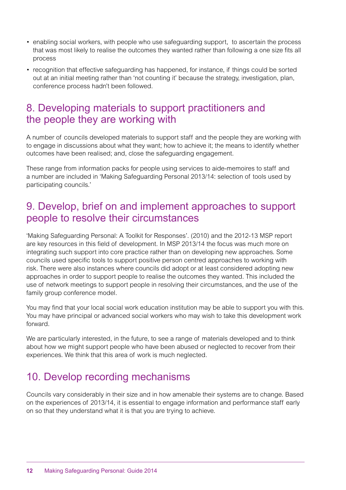- enabling social workers, with people who use safeguarding support, to ascertain the process that was most likely to realise the outcomes they wanted rather than following a one size fits all process
- recognition that effective safeguarding has happened, for instance, if things could be sorted out at an initial meeting rather than 'not counting it' because the strategy, investigation, plan, conference process hadn't been followed.

## 8. Developing materials to support practitioners and the people they are working with

A number of councils developed materials to support staff and the people they are working with to engage in discussions about what they want; how to achieve it; the means to identify whether outcomes have been realised; and, close the safeguarding engagement.

These range from information packs for people using services to aide-memoires to staff and a number are included in 'Making Safeguarding Personal 2013/14: selection of tools used by participating councils.'

## 9. Develop, brief on and implement approaches to support people to resolve their circumstances

'Making Safeguarding Personal: A Toolkit for Responses'. (2010) and the 2012-13 MSP report are key resources in this field of development. In MSP 2013/14 the focus was much more on integrating such support into core practice rather than on developing new approaches. Some councils used specific tools to support positive person centred approaches to working with risk. There were also instances where councils did adopt or at least considered adopting new approaches in order to support people to realise the outcomes they wanted. This included the use of network meetings to support people in resolving their circumstances, and the use of the family group conference model.

You may find that your local social work education institution may be able to support you with this. You may have principal or advanced social workers who may wish to take this development work forward.

We are particularly interested, in the future, to see a range of materials developed and to think about how we might support people who have been abused or neglected to recover from their experiences. We think that this area of work is much neglected.

## 10. Develop recording mechanisms

Councils vary considerably in their size and in how amenable their systems are to change. Based on the experiences of 2013/14, it is essential to engage information and performance staff early on so that they understand what it is that you are trying to achieve.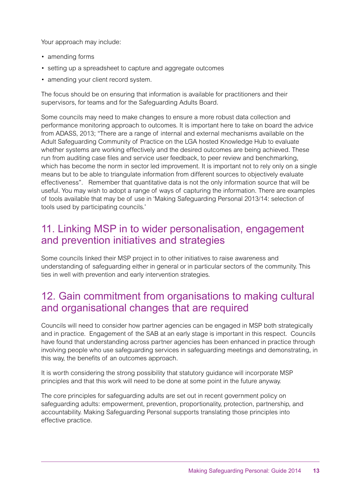Your approach may include:

- amending forms
- setting up a spreadsheet to capture and aggregate outcomes
- amending your client record system.

The focus should be on ensuring that information is available for practitioners and their supervisors, for teams and for the Safeguarding Adults Board.

Some councils may need to make changes to ensure a more robust data collection and performance monitoring approach to outcomes. It is important here to take on board the advice from ADASS, 2013; "There are a range of internal and external mechanisms available on the Adult Safeguarding Community of Practice on the LGA hosted Knowledge Hub to evaluate whether systems are working effectively and the desired outcomes are being achieved. These run from auditing case files and service user feedback, to peer review and benchmarking, which has become the norm in sector led improvement. It is important not to rely only on a single means but to be able to triangulate information from different sources to objectively evaluate effectiveness". Remember that quantitative data is not the only information source that will be useful. You may wish to adopt a range of ways of capturing the information. There are examples of tools available that may be of use in 'Making Safeguarding Personal 2013/14: selection of tools used by participating councils.'

### 11. Linking MSP in to wider personalisation, engagement and prevention initiatives and strategies

Some councils linked their MSP project in to other initiatives to raise awareness and understanding of safeguarding either in general or in particular sectors of the community. This ties in well with prevention and early intervention strategies.

## 12. Gain commitment from organisations to making cultural and organisational changes that are required

Councils will need to consider how partner agencies can be engaged in MSP both strategically and in practice. Engagement of the SAB at an early stage is important in this respect. Councils have found that understanding across partner agencies has been enhanced in practice through involving people who use safeguarding services in safeguarding meetings and demonstrating, in this way, the benefits of an outcomes approach.

It is worth considering the strong possibility that statutory guidance will incorporate MSP principles and that this work will need to be done at some point in the future anyway.

The core principles for safeguarding adults are set out in recent government policy on safeguarding adults: empowerment, prevention, proportionality, protection, partnership, and accountability. Making Safeguarding Personal supports translating those principles into effective practice.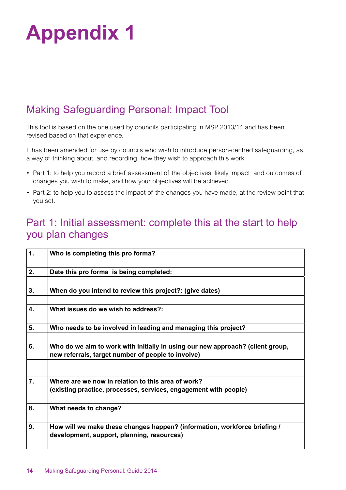## **Appendix 1**

## Making Safeguarding Personal: Impact Tool

This tool is based on the one used by councils participating in MSP 2013/14 and has been revised based on that experience.

It has been amended for use by councils who wish to introduce person-centred safeguarding, as a way of thinking about, and recording, how they wish to approach this work.

- Part 1: to help you record a brief assessment of the objectives, likely impact and outcomes of changes you wish to make, and how your objectives will be achieved.
- Part 2: to help you to assess the impact of the changes you have made, at the review point that you set.

### Part 1: Initial assessment: complete this at the start to help you plan changes

| Who do we aim to work with initially in using our new approach? (client group, |
|--------------------------------------------------------------------------------|
|                                                                                |
|                                                                                |
|                                                                                |
|                                                                                |
|                                                                                |
|                                                                                |
|                                                                                |
| How will we make these changes happen? (information, workforce briefing /      |
|                                                                                |
|                                                                                |
|                                                                                |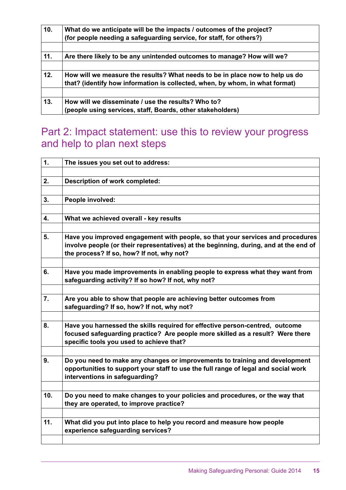| 10. | What do we anticipate will be the impacts / outcomes of the project?<br>(for people needing a safeguarding service, for staff, for others?)                  |
|-----|--------------------------------------------------------------------------------------------------------------------------------------------------------------|
| 11. | Are there likely to be any unintended outcomes to manage? How will we?                                                                                       |
| 12. | How will we measure the results? What needs to be in place now to help us do<br>that? (identify how information is collected, when, by whom, in what format) |
| 13. | How will we disseminate / use the results? Who to?<br>(people using services, staff, Boards, other stakeholders)                                             |

## Part 2: Impact statement: use this to review your progress and help to plan next steps

| 1.  | The issues you set out to address:                                                                                                                                                                                   |
|-----|----------------------------------------------------------------------------------------------------------------------------------------------------------------------------------------------------------------------|
| 2.  | <b>Description of work completed:</b>                                                                                                                                                                                |
| 3.  | People involved:                                                                                                                                                                                                     |
| 4.  | What we achieved overall - key results                                                                                                                                                                               |
| 5.  | Have you improved engagement with people, so that your services and procedures<br>involve people (or their representatives) at the beginning, during, and at the end of<br>the process? If so, how? If not, why not? |
| 6.  | Have you made improvements in enabling people to express what they want from<br>safeguarding activity? If so how? If not, why not?                                                                                   |
| 7.  | Are you able to show that people are achieving better outcomes from<br>safeguarding? If so, how? If not, why not?                                                                                                    |
| 8.  | Have you harnessed the skills required for effective person-centred, outcome<br>focused safeguarding practice? Are people more skilled as a result? Were there<br>specific tools you used to achieve that?           |
| 9.  | Do you need to make any changes or improvements to training and development<br>opportunities to support your staff to use the full range of legal and social work<br>interventions in safeguarding?                  |
| 10. | Do you need to make changes to your policies and procedures, or the way that<br>they are operated, to improve practice?                                                                                              |
| 11. | What did you put into place to help you record and measure how people<br>experience safeguarding services?                                                                                                           |
|     |                                                                                                                                                                                                                      |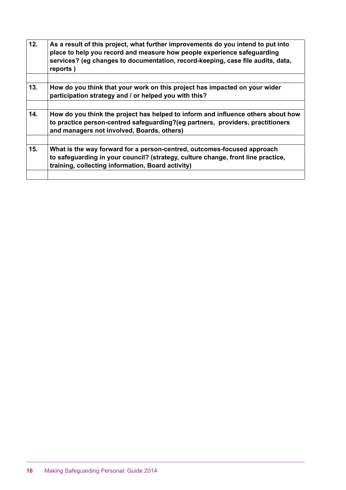| As a result of this project, what further improvements do you intend to put into<br>place to help you record and measure how people experience safeguarding<br>services? (eg changes to documentation, record-keeping, case file audits, data, |
|------------------------------------------------------------------------------------------------------------------------------------------------------------------------------------------------------------------------------------------------|
| How do you think that your work on this project has impacted on your wider                                                                                                                                                                     |
| How do you think the project has helped to inform and influence others about how<br>to practice person-centred safeguarding? (eg partners, providers, practitioners                                                                            |
| What is the way forward for a person-centred, outcomes-focused approach<br>to safeguarding in your council? (strategy, culture change, front line practice,                                                                                    |
|                                                                                                                                                                                                                                                |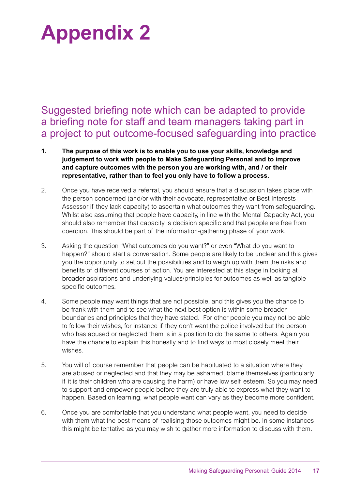## **Appendix 2**

Suggested briefing note which can be adapted to provide a briefing note for staff and team managers taking part in a project to put outcome-focused safeguarding into practice

- **1. The purpose of this work is to enable you to use your skills, knowledge and judgement to work with people to Make Safeguarding Personal and to improve and capture outcomes with the person you are working with, and / or their representative, rather than to feel you only have to follow a process.**
- 2. Once you have received a referral, you should ensure that a discussion takes place with the person concerned (and/or with their advocate, representative or Best Interests Assessor if they lack capacity) to ascertain what outcomes they want from safeguarding. Whilst also assuming that people have capacity, in line with the Mental Capacity Act, you should also remember that capacity is decision specific and that people are free from coercion. This should be part of the information-gathering phase of your work.
- 3. Asking the question "What outcomes do you want?" or even "What do you want to happen?" should start a conversation. Some people are likely to be unclear and this gives you the opportunity to set out the possibilities and to weigh up with them the risks and benefits of different courses of action. You are interested at this stage in looking at broader aspirations and underlying values/principles for outcomes as well as tangible specific outcomes.
- 4. Some people may want things that are not possible, and this gives you the chance to be frank with them and to see what the next best option is within some broader boundaries and principles that they have stated. For other people you may not be able to follow their wishes, for instance if they don't want the police involved but the person who has abused or neglected them is in a position to do the same to others. Again you have the chance to explain this honestly and to find ways to most closely meet their wishes.
- 5. You will of course remember that people can be habituated to a situation where they are abused or neglected and that they may be ashamed, blame themselves (particularly if it is their children who are causing the harm) or have low self esteem. So you may need to support and empower people before they are truly able to express what they want to happen. Based on learning, what people want can vary as they become more confident.
- 6. Once you are comfortable that you understand what people want, you need to decide with them what the best means of realising those outcomes might be. In some instances this might be tentative as you may wish to gather more information to discuss with them.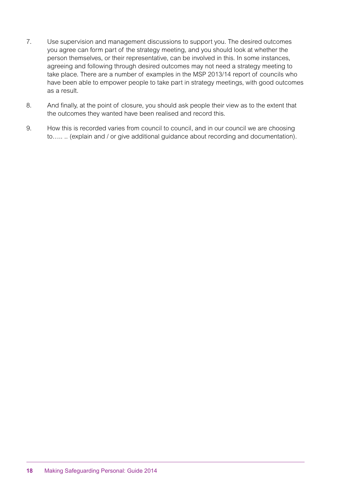- 7. Use supervision and management discussions to support you. The desired outcomes you agree can form part of the strategy meeting, and you should look at whether the person themselves, or their representative, can be involved in this. In some instances, agreeing and following through desired outcomes may not need a strategy meeting to take place. There are a number of examples in the MSP 2013/14 report of councils who have been able to empower people to take part in strategy meetings, with good outcomes as a result.
- 8. And finally, at the point of closure, you should ask people their view as to the extent that the outcomes they wanted have been realised and record this.
- 9. How this is recorded varies from council to council, and in our council we are choosing to….. .. (explain and / or give additional guidance about recording and documentation).